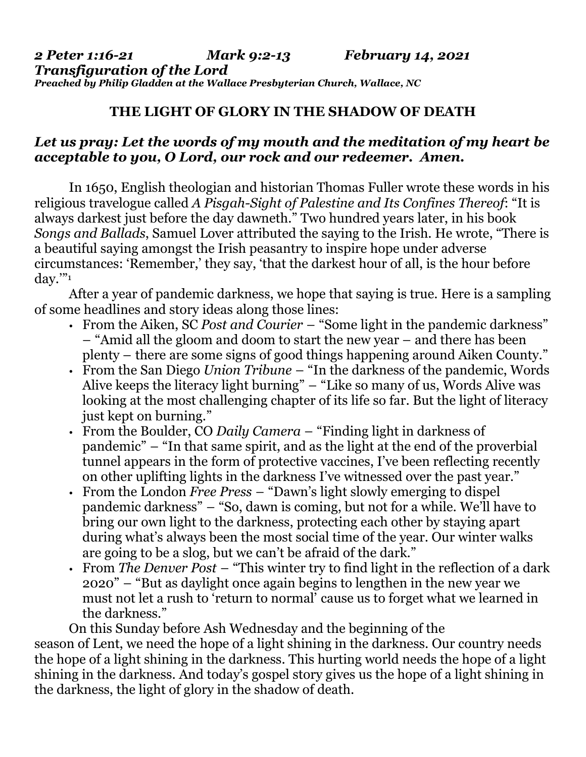## **THE LIGHT OF GLORY IN THE SHADOW OF DEATH**

## *Let us pray: Let the words of my mouth and the meditation of my heart be acceptable to you, O Lord, our rock and our redeemer. Amen.*

In 1650, English theologian and historian Thomas Fuller wrote these words in his religious travelogue called *A Pisgah-Sight of Palestine and Its Confines Thereof*: "It is always darkest just before the day dawneth." Two hundred years later, in his book *Songs and Ballads*, Samuel Lover attributed the saying to the Irish. He wrote, "There is a beautiful saying amongst the Irish peasantry to inspire hope under adverse circumstances: 'Remember,' they say, 'that the darkest hour of all, is the hour before  $\alpha$ ."

After a year of pandemic darkness, we hope that saying is true. Here is a sampling of some headlines and story ideas along those lines:

- From the Aiken, SC *Post and Courier* "Some light in the pandemic darkness" – "Amid all the gloom and doom to start the new year – and there has been plenty – there are some signs of good things happening around Aiken County."
- From the San Diego *Union Tribune* "In the darkness of the pandemic, Words Alive keeps the literacy light burning" – "Like so many of us, Words Alive was looking at the most challenging chapter of its life so far. But the light of literacy just kept on burning."
- From the Boulder, CO *Daily Camera* "Finding light in darkness of pandemic" – "In that same spirit, and as the light at the end of the proverbial tunnel appears in the form of protective vaccines, I've been reflecting recently on other uplifting lights in the darkness I've witnessed over the past year."
- From the London *Free Press* "Dawn's light slowly emerging to dispel pandemic darkness" – "So, dawn is coming, but not for a while. We'll have to bring our own light to the darkness, protecting each other by staying apart during what's always been the most social time of the year. Our winter walks are going to be a slog, but we can't be afraid of the dark."
- From *The Denver Post* "This winter try to find light in the reflection of a dark 2020" – "But as daylight once again begins to lengthen in the new year we must not let a rush to 'return to normal' cause us to forget what we learned in the darkness."

On this Sunday before Ash Wednesday and the beginning of the season of Lent, we need the hope of a light shining in the darkness. Our country needs the hope of a light shining in the darkness. This hurting world needs the hope of a light shining in the darkness. And today's gospel story gives us the hope of a light shining in the darkness, the light of glory in the shadow of death.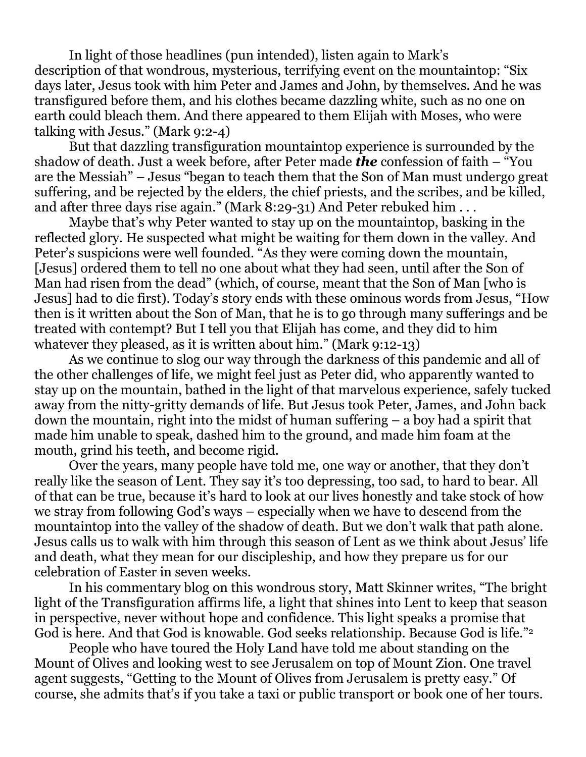In light of those headlines (pun intended), listen again to Mark's description of that wondrous, mysterious, terrifying event on the mountaintop: "Six days later, Jesus took with him Peter and James and John, by themselves. And he was transfigured before them, and his clothes became dazzling white, such as no one on earth could bleach them. And there appeared to them Elijah with Moses, who were talking with Jesus." (Mark 9:2-4)

But that dazzling transfiguration mountaintop experience is surrounded by the shadow of death. Just a week before, after Peter made *the* confession of faith – "You are the Messiah" – Jesus "began to teach them that the Son of Man must undergo great suffering, and be rejected by the elders, the chief priests, and the scribes, and be killed, and after three days rise again." (Mark 8:29-31) And Peter rebuked him . . .

Maybe that's why Peter wanted to stay up on the mountaintop, basking in the reflected glory. He suspected what might be waiting for them down in the valley. And Peter's suspicions were well founded. "As they were coming down the mountain, [Jesus] ordered them to tell no one about what they had seen, until after the Son of Man had risen from the dead" (which, of course, meant that the Son of Man [who is Jesus] had to die first). Today's story ends with these ominous words from Jesus, "How then is it written about the Son of Man, that he is to go through many sufferings and be treated with contempt? But I tell you that Elijah has come, and they did to him whatever they pleased, as it is written about him." (Mark 9:12-13)

As we continue to slog our way through the darkness of this pandemic and all of the other challenges of life, we might feel just as Peter did, who apparently wanted to stay up on the mountain, bathed in the light of that marvelous experience, safely tucked away from the nitty-gritty demands of life. But Jesus took Peter, James, and John back down the mountain, right into the midst of human suffering – a boy had a spirit that made him unable to speak, dashed him to the ground, and made him foam at the mouth, grind his teeth, and become rigid.

Over the years, many people have told me, one way or another, that they don't really like the season of Lent. They say it's too depressing, too sad, to hard to bear. All of that can be true, because it's hard to look at our lives honestly and take stock of how we stray from following God's ways – especially when we have to descend from the mountaintop into the valley of the shadow of death. But we don't walk that path alone. Jesus calls us to walk with him through this season of Lent as we think about Jesus' life and death, what they mean for our discipleship, and how they prepare us for our celebration of Easter in seven weeks.

In his commentary blog on this wondrous story, Matt Skinner writes, "The bright light of the Transfiguration affirms life, a light that shines into Lent to keep that season in perspective, never without hope and confidence. This light speaks a promise that God is here. And that God is knowable. God seeks relationship. Because God is life." 2

People who have toured the Holy Land have told me about standing on the Mount of Olives and looking west to see Jerusalem on top of Mount Zion. One travel agent suggests, "Getting to the Mount of Olives from Jerusalem is pretty easy." Of course, she admits that's if you take a taxi or public transport or book one of her tours.